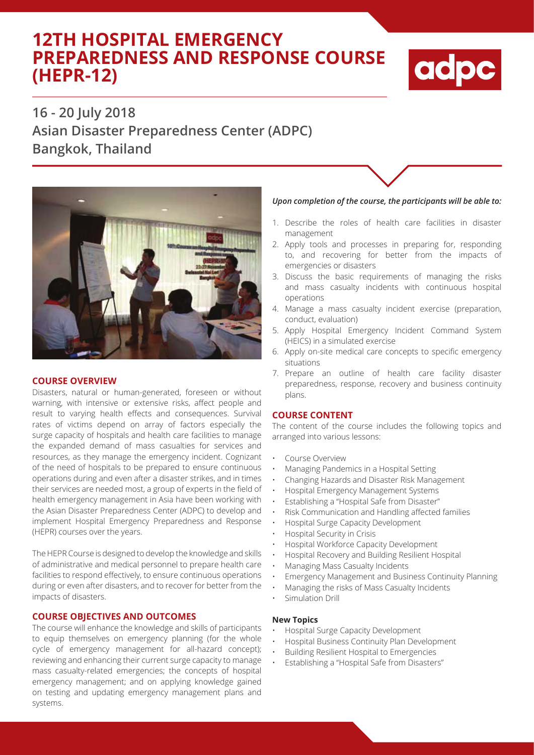# **12TH HOSPITAL EMERGENCY PREPAREDNESS AND RESPONSE COURSE (HEPR-12)**



# **16 - 20 July 2018 Asian Disaster Preparedness Center (ADPC) Bangkok, Thailand**



## **COURSE OVERVIEW**

Disasters, natural or human-generated, foreseen or without warning, with intensive or extensive risks, affect people and result to varying health effects and consequences. Survival rates of victims depend on array of factors especially the surge capacity of hospitals and health care facilities to manage the expanded demand of mass casualties for services and resources, as they manage the emergency incident. Cognizant of the need of hospitals to be prepared to ensure continuous operations during and even after a disaster strikes, and in times their services are needed most, a group of experts in the field of health emergency management in Asia have been working with the Asian Disaster Preparedness Center (ADPC) to develop and implement Hospital Emergency Preparedness and Response (HEPR) courses over the years.

The HEPR Course is designed to develop the knowledge and skills of administrative and medical personnel to prepare health care facilities to respond effectively, to ensure continuous operations during or even after disasters, and to recover for better from the impacts of disasters.

## **COURSE OBJECTIVES AND OUTCOMES**

The course will enhance the knowledge and skills of participants to equip themselves on emergency planning (for the whole cycle of emergency management for all-hazard concept); reviewing and enhancing their current surge capacity to manage mass casualty-related emergencies; the concepts of hospital emergency management; and on applying knowledge gained on testing and updating emergency management plans and systems.

### *Upon completion of the course, the participants will be able to:*

- 1. Describe the roles of health care facilities in disaster management
- 2. Apply tools and processes in preparing for, responding to, and recovering for better from the impacts of emergencies or disasters
- 3. Discuss the basic requirements of managing the risks and mass casualty incidents with continuous hospital operations
- 4. Manage a mass casualty incident exercise (preparation, conduct, evaluation)
- 5. Apply Hospital Emergency Incident Command System (HEICS) in a simulated exercise
- 6. Apply on-site medical care concepts to specific emergency situations
- 7. Prepare an outline of health care facility disaster preparedness, response, recovery and business continuity plans.

#### **COURSE CONTENT**

The content of the course includes the following topics and arranged into various lessons:

- Course Overview
- Managing Pandemics in a Hospital Setting
- Changing Hazards and Disaster Risk Management
- Hospital Emergency Management Systems
- Establishing a "Hospital Safe from Disaster"
- Risk Communication and Handling affected families
- Hospital Surge Capacity Development
- Hospital Security in Crisis
- Hospital Workforce Capacity Development
- Hospital Recovery and Building Resilient Hospital
- Managing Mass Casualty Incidents
- Emergency Management and Business Continuity Planning
- Managing the risks of Mass Casualty Incidents
- Simulation Drill

#### **New Topics**

- Hospital Surge Capacity Development
- Hospital Business Continuity Plan Development
- Building Resilient Hospital to Emergencies
- Establishing a "Hospital Safe from Disasters"